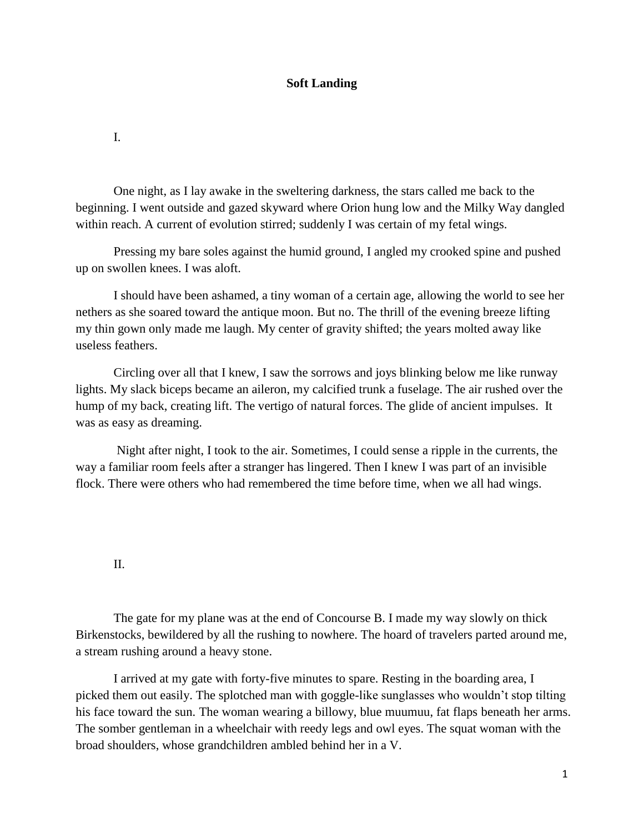## **Soft Landing**

I.

One night, as I lay awake in the sweltering darkness, the stars called me back to the beginning. I went outside and gazed skyward where Orion hung low and the Milky Way dangled within reach. A current of evolution stirred; suddenly I was certain of my fetal wings.

Pressing my bare soles against the humid ground, I angled my crooked spine and pushed up on swollen knees. I was aloft.

I should have been ashamed, a tiny woman of a certain age, allowing the world to see her nethers as she soared toward the antique moon. But no. The thrill of the evening breeze lifting my thin gown only made me laugh. My center of gravity shifted; the years molted away like useless feathers.

Circling over all that I knew, I saw the sorrows and joys blinking below me like runway lights. My slack biceps became an aileron, my calcified trunk a fuselage. The air rushed over the hump of my back, creating lift. The vertigo of natural forces. The glide of ancient impulses. It was as easy as dreaming.

Night after night, I took to the air. Sometimes, I could sense a ripple in the currents, the way a familiar room feels after a stranger has lingered. Then I knew I was part of an invisible flock. There were others who had remembered the time before time, when we all had wings.

## II.

The gate for my plane was at the end of Concourse B. I made my way slowly on thick Birkenstocks, bewildered by all the rushing to nowhere. The hoard of travelers parted around me, a stream rushing around a heavy stone.

I arrived at my gate with forty-five minutes to spare. Resting in the boarding area, I picked them out easily. The splotched man with goggle-like sunglasses who wouldn't stop tilting his face toward the sun. The woman wearing a billowy, blue muumuu, fat flaps beneath her arms. The somber gentleman in a wheelchair with reedy legs and owl eyes. The squat woman with the broad shoulders, whose grandchildren ambled behind her in a V.